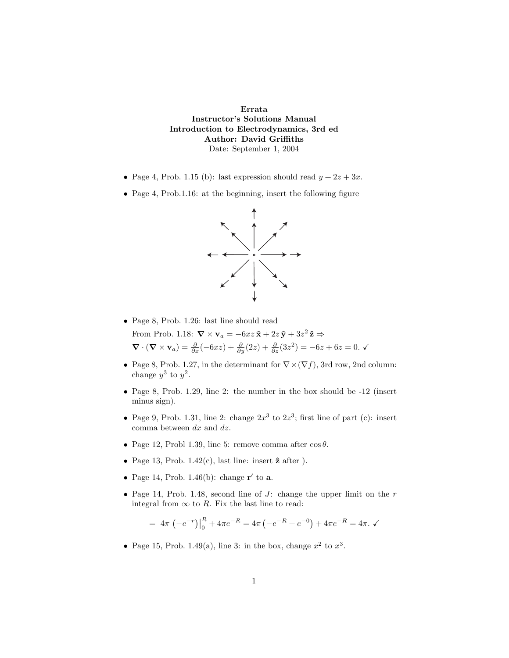**Errata Instructor's Solutions Manual Introduction to Electrodynamics, 3rd ed Author: David Griffiths** Date: September 1, 2004

- Page 4, Prob. 1.15 (b): last expression should read  $y + 2z + 3x$ .
- Page 4, Prob.1.16: at the beginning, insert the following figure



- Page 8, Prob. 1.26: last line should read From Prob. 1.18:  $\nabla \times \mathbf{v}_a = -6xz\hat{\mathbf{x}} + 2z\hat{\mathbf{y}} + 3z^2\hat{\mathbf{z}} \Rightarrow$  $\nabla \cdot (\nabla \times \mathbf{v}_a) = \frac{\partial}{\partial x}(-6xz) + \frac{\partial}{\partial y}(2z) + \frac{\partial}{\partial z}(3z^2) = -6z + 6z = 0.$   $\checkmark$
- Page 8, Prob. 1.27, in the determinant for  $\nabla \times (\nabla f)$ , 3rd row, 2nd column: change  $y^3$  to  $y^2$ .
- Page 8, Prob. 1.29, line 2: the number in the box should be  $-12$  (insert minus sign).
- Page 9, Prob. 1.31, line 2: change  $2x^3$  to  $2z^3$ ; first line of part (c): insert comma between *dx* and *dz*.
- Page 12, Probl 1.39, line 5: remove comma after  $\cos \theta$ .
- Page 13, Prob.  $1.42(c)$ , last line: insert  $\hat{z}$  after ).
- Page 14, Prob. 1.46(b): change  $\mathbf{r}'$  to **a**.
- Page 14, Prob. 1.48, second line of  $J$ : change the upper limit on the  $r$ integral from  $\infty$  to R. Fix the last line to read:

$$
= 4\pi \left(-e^{-r}\right)\Big|_{0}^{R} + 4\pi e^{-R} = 4\pi \left(-e^{-R} + e^{-0}\right) + 4\pi e^{-R} = 4\pi. \checkmark
$$

• Page 15, Prob. 1.49(a), line 3: in the box, change  $x^2$  to  $x^3$ .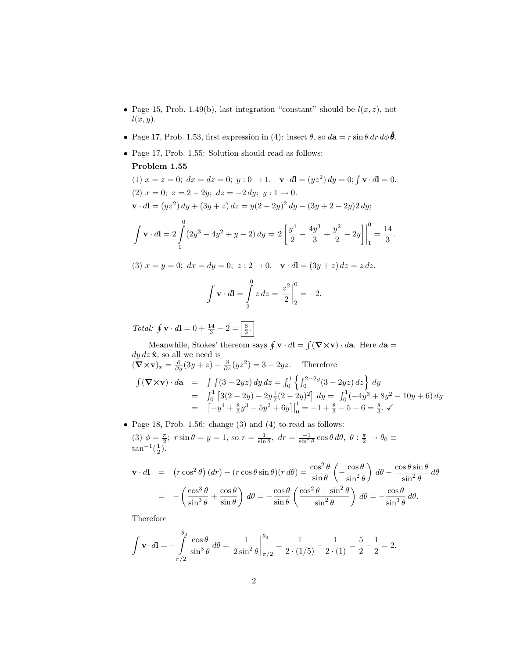- Page 15, Prob. 1.49(b), last integration "constant" should be  $l(x, z)$ , not *l*(*x, y*).
- Page 17, Prob. 1.53, first expression in (4): insert  $\theta$ , so  $d\mathbf{a} = r \sin \theta \, dr \, d\phi \, \hat{\theta}$ .
- Page 17, Prob. 1.55: Solution should read as follows:

## **Problem 1.55**

(1)  $x = z = 0$ ;  $dx = dz = 0$ ;  $y: 0 \to 1$ .  $\mathbf{v} \cdot d\mathbf{l} = (yz^2) dy = 0$ ;  $\int \mathbf{v} \cdot d\mathbf{l} = 0$ . (2)  $x = 0$ ;  $z = 2 - 2y$ ;  $dz = -2 dy$ ;  $y : 1 \rightarrow 0$ .  $\mathbf{v} \cdot d\mathbf{l} = (yz^2) dy + (3y + z) dz = y(2 - 2y)^2 dy - (3y + 2 - 2y)2 dy;$ 

$$
\int \mathbf{v} \cdot d\mathbf{l} = 2 \int_{1}^{0} (2y^3 - 4y^2 + y - 2) \, dy = 2 \left[ \frac{y^4}{2} - \frac{4y^3}{3} + \frac{y^2}{2} - 2y \right] \Big|_{1}^{0} = \frac{14}{3}.
$$

(3) 
$$
x = y = 0
$$
;  $dx = dy = 0$ ;  $z: 2 \to 0$ .  $\mathbf{v} \cdot d\mathbf{l} = (3y + z) dz = z dz$ .

$$
\int \mathbf{v} \cdot d\mathbf{l} = \int_{2}^{0} z \, dz = \left. \frac{z^{2}}{2} \right|_{2}^{0} = -2.
$$

Total:  $\oint \mathbf{v} \cdot d\mathbf{l} = 0 + \frac{14}{3} - 2 = \frac{8}{3}.$ 

Meanwhile, Stokes' thereom says  $\oint \mathbf{v} \cdot d\mathbf{l} = \int (\nabla \times \mathbf{v}) \cdot d\mathbf{a}$ . Here  $d\mathbf{a} =$  $dy dz \hat{\mathbf{x}}$ , so all we need is  $(\nabla \times \mathbf{v})_x = \frac{\partial}{\partial y}(3y + z) - \frac{\partial}{\partial z}(yz^2) = 3 - 2yz.$  Therefore

$$
\int (\mathbf{\nabla} \times \mathbf{v}) \cdot d\mathbf{a} = \int \int (3 - 2yz) \, dy \, dz = \int_0^1 \left\{ \int_0^{2 - 2y} (3 - 2yz) \, dz \right\} \, dy
$$
  
=  $\int_0^1 \left[ 3(2 - 2y) - 2y \frac{1}{2}(2 - 2y)^2 \right] \, dy = \int_0^1 (-4y^3 + 8y^2 - 10y + 6) \, dy$   
=  $\left[ -y^4 + \frac{8}{3}y^3 - 5y^2 + 6y \right] \Big|_0^1 = -1 + \frac{8}{3} - 5 + 6 = \frac{8}{3}.$ 

 $\bullet$  Page 18, Prob. 1.56: change (3) and (4) to read as follows:  $(3) \phi = \frac{\pi}{2}$ ;  $r \sin \theta = y = 1$ , so  $r = \frac{1}{\sin \theta}$ ,  $dr = \frac{-1}{\sin^2 \theta} \cos \theta d\theta$ ,  $\theta : \frac{\pi}{2} \to \theta_0$  $tan^{-1}(\frac{1}{2})$ .

$$
\mathbf{v} \cdot d\mathbf{l} = (r \cos^2 \theta) (dr) - (r \cos \theta \sin \theta)(r d\theta) = \frac{\cos^2 \theta}{\sin \theta} \left( -\frac{\cos \theta}{\sin^2 \theta} \right) d\theta - \frac{\cos \theta \sin \theta}{\sin^2 \theta} d\theta
$$

$$
= -\left( \frac{\cos^3 \theta}{\sin^3 \theta} + \frac{\cos \theta}{\sin \theta} \right) d\theta = -\frac{\cos \theta}{\sin \theta} \left( \frac{\cos^2 \theta + \sin^2 \theta}{\sin^2 \theta} \right) d\theta = -\frac{\cos \theta}{\sin^3 \theta} d\theta.
$$

Therefore

$$
\int \mathbf{v} \cdot d\mathbf{l} = -\int_{\pi/2}^{\theta_0} \frac{\cos \theta}{\sin^3 \theta} d\theta = \frac{1}{2 \sin^2 \theta} \Big|_{\pi/2}^{\theta_0} = \frac{1}{2 \cdot (1/5)} - \frac{1}{2 \cdot (1)} = \frac{5}{2} - \frac{1}{2} = 2.
$$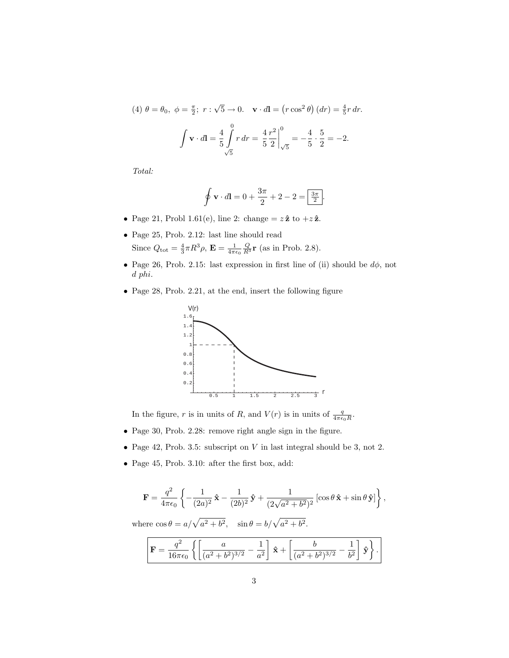(4) 
$$
\theta = \theta_0
$$
,  $\phi = \frac{\pi}{2}$ ;  $r : \sqrt{5} \to 0$ .  $\mathbf{v} \cdot d\mathbf{l} = (r \cos^2 \theta) (dr) = \frac{4}{5} r dr$ .  

$$
\int \mathbf{v} \cdot d\mathbf{l} = \frac{4}{5} \int_{\sqrt{5}}^{0} r dr = \frac{4}{5} \frac{r^2}{2} \Big|_{\sqrt{5}}^{0} = -\frac{4}{5} \cdot \frac{5}{2} = -2.
$$

Total:

$$
\oint \mathbf{v} \cdot d\mathbf{l} = 0 + \frac{3\pi}{2} + 2 - 2 = \boxed{\frac{3\pi}{2}}.
$$

- Page 21, Probl 1.61(e), line 2: change  $= z \hat{z}$  to  $+z \hat{z}$ .
- Page 25, Prob. 2.12: last line should read Since  $Q_{\text{tot}} = \frac{4}{3}\pi R^3 \rho$ ,  $\mathbf{E} = \frac{1}{4\pi\epsilon_0} \frac{Q}{R^3} \mathbf{r}$  (as in Prob. 2.8).
- Page 26, Prob. 2.15: last expression in first line of (ii) should be *dφ*, not *d phi*.
- Page 28, Prob. 2.21, at the end, insert the following figure



In the figure, *r* is in units of *R*, and  $V(r)$  is in units of  $\frac{q}{4\pi\epsilon_0 R}$ .

- Page 30, Prob. 2.28: remove right angle sign in the figure.
- Page 42, Prob. 3.5: subscript on *V* in last integral should be 3, not 2.
- Page 45, Prob. 3.10: after the first box, add:

$$
\mathbf{F} = \frac{q^2}{4\pi\epsilon_0} \left\{ -\frac{1}{(2a)^2} \hat{\mathbf{x}} - \frac{1}{(2b)^2} \hat{\mathbf{y}} + \frac{1}{(2\sqrt{a^2 + b^2})^2} \left[ \cos\theta \hat{\mathbf{x}} + \sin\theta \hat{\mathbf{y}} \right] \right\},\,
$$

where  $\cos \theta = a/\sqrt{a^2 + b^2}$ ,  $\sin \theta = b/\sqrt{a^2 + b^2}$ .

$$
\mathbf{F} = \frac{q^2}{16\pi\epsilon_0} \left\{ \left[ \frac{a}{(a^2 + b^2)^{3/2}} - \frac{1}{a^2} \right] \hat{\mathbf{x}} + \left[ \frac{b}{(a^2 + b^2)^{3/2}} - \frac{1}{b^2} \right] \hat{\mathbf{y}} \right\}.
$$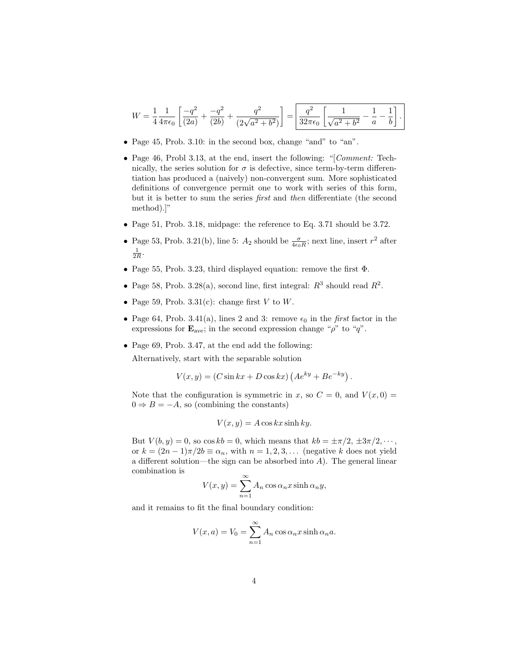$$
W = \frac{1}{4} \frac{1}{4\pi\epsilon_0} \left[ \frac{-q^2}{(2a)} + \frac{-q^2}{(2b)} + \frac{q^2}{(2\sqrt{a^2 + b^2})} \right] = \boxed{\frac{q^2}{32\pi\epsilon_0} \left[ \frac{1}{\sqrt{a^2 + b^2}} - \frac{1}{a} - \frac{1}{b} \right]}.
$$

- Page 45, Prob. 3.10: in the second box, change "and" to "an".
- Page 46, Probl 3.13, at the end, insert the following: "[Comment: Technically, the series solution for  $\sigma$  is defective, since term-by-term differentiation has produced a (naively) non-convergent sum. More sophisticated definitions of convergence permit one to work with series of this form, but it is better to sum the series first and then differentiate (the second method).]"
- Page 51, Prob. 3.18, midpage: the reference to Eq. 3.71 should be 3.72.
- Page 53, Prob. 3.21(b), line 5:  $A_2$  should be  $\frac{\sigma}{4\epsilon_0 R}$ ; next line, insert  $r^2$  after  $\frac{1}{2R}$ .
- Page 55, Prob. 3.23, third displayed equation: remove the first Φ.
- Page 58, Prob. 3.28(a), second line, first integral:  $R^3$  should read  $R^2$ .
- Page 59, Prob.  $3.31(c)$ : change first *V* to *W*.
- Page 64, Prob. 3.41(a), lines 2 and 3: remove  $\epsilon_0$  in the first factor in the expressions for  $\mathbf{E}_{\text{ave}}$ ; in the second expression change " $\rho$ " to " $q$ ".
- Page 69, Prob. 3.47, at the end add the following:

Alternatively, start with the separable solution

$$
V(x, y) = (C \sin kx + D \cos kx) (Ae^{ky} + Be^{-ky}).
$$

Note that the configuration is symmetric in *x*, so  $C = 0$ , and  $V(x, 0) =$  $0 \Rightarrow B = -A$ , so (combining the constants)

$$
V(x, y) = A \cos kx \sinh ky.
$$

But  $V(b, y) = 0$ , so  $\cos kb = 0$ , which means that  $kb = \pm \pi/2, \pm 3\pi/2, \cdots$ , or  $k = (2n - 1)\pi/2b \equiv \alpha_n$ , with  $n = 1, 2, 3, \ldots$  (negative *k* does not yield a different solution—the sign can be absorbed into *A*). The general linear combination is

$$
V(x, y) = \sum_{n=1}^{\infty} A_n \cos \alpha_n x \sinh \alpha_n y,
$$

and it remains to fit the final boundary condition:

$$
V(x, a) = V_0 = \sum_{n=1}^{\infty} A_n \cos \alpha_n x \sinh \alpha_n a.
$$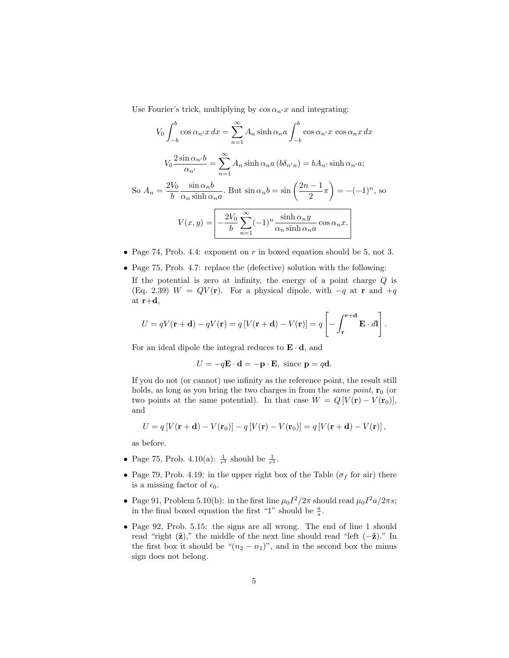Use Fourier's trick, multiplying by  $\cos \alpha_{n'}x$  and integrating:

$$
V_0 \int_{-b}^{b} \cos \alpha_{n'} x \, dx = \sum_{n=1}^{\infty} A_n \sinh \alpha_n a \int_{-b}^{b} \cos \alpha_{n'} x \, \cos \alpha_n x \, dx
$$

$$
V_0 \frac{2 \sin \alpha_{n'} b}{\alpha_{n'}} = \sum_{n=1}^{\infty} A_n \sinh \alpha_n a \, (b \delta_{n'n}) = b A_{n'} \sinh \alpha_{n'} a;
$$

$$
\text{So } A_n = \frac{2V_0}{b} \frac{\sin \alpha_n b}{\alpha_n \sinh \alpha_n a}. \text{ But } \sin \alpha_n b = \sin \left(\frac{2n-1}{2}\pi\right) = -(-1)^n, \text{ so}
$$

$$
V(x, y) = \boxed{-\frac{2V_0}{b} \sum_{n=1}^{\infty} (-1)^n \frac{\sinh \alpha_n y}{\alpha_n \sinh \alpha_n a} \cos \alpha_n x.}
$$

- Page 74, Prob. 4.4: exponent on *r* in boxed equation should be 5, not 3.
- Page 75, Prob. 4.7: replace the (defective) solution with the following:

If the potential is zero at infinity, the energy of a point charge *Q* is (Eq. 2.39)  $W = QV(\mathbf{r})$ . For a physical dipole, with  $-q$  at **r** and  $+q$ at **r**+**d**,

$$
U = qV(\mathbf{r} + \mathbf{d}) - qV(\mathbf{r}) = q[V(\mathbf{r} + \mathbf{d}) - V(\mathbf{r})] = q \left[ - \int_{\mathbf{r}}^{\mathbf{r} + \mathbf{d}} \mathbf{E} \cdot d\mathbf{l} \right].
$$

For an ideal dipole the integral reduces to  $\mathbf{E} \cdot \mathbf{d}$ , and

 $U = -q\mathbf{E} \cdot \mathbf{d} = -\mathbf{p} \cdot \mathbf{E}$ , since  $\mathbf{p} = q\mathbf{d}$ .

If you do not (or cannot) use infinity as the reference point, the result still holds, as long as you bring the two charges in from the *same point*,  $\mathbf{r}_0$  (or two points at the same potential). In that case  $W = Q[V(\mathbf{r}) - V(\mathbf{r}_0)],$ and

$$
U = q[V(\mathbf{r} + \mathbf{d}) - V(\mathbf{r}_0)] - q[V(\mathbf{r}) - V(\mathbf{r}_0)] = q[V(\mathbf{r} + \mathbf{d}) - V(\mathbf{r})],
$$

as before.

- Page 75, Prob. 4.10(a):  $\frac{1}{r^3}$  should be  $\frac{1}{r^2}$ .
- Page 79, Prob. 4.19: in the upper right box of the Table ( $\sigma_f$  for air) there is a missing factor of  $\epsilon_0$ .
- Page 91, Problem 5.10(b): in the first line  $\mu_0 I^2 / 2\pi$  should read  $\mu_0 I^2 a / 2\pi s$ ; in the final boxed equation the first "1" should be  $\frac{a}{s}$ .
- Page 92, Prob. 5.15: the signs are all wrong. The end of line 1 should read "right (**ˆz**)," the middle of the next line should read "left (−**ˆz**)." In the first box it should be " $(n_2 - n_1)$ ", and in the second box the minus sign does not belong.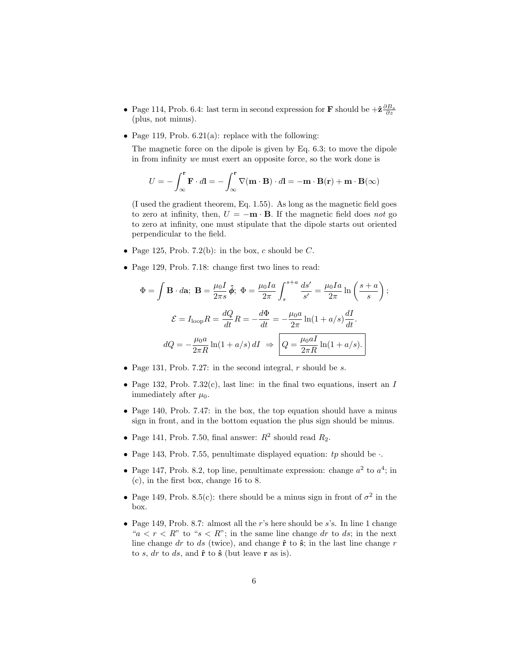- Page 114, Prob. 6.4: last term in second expression for **F** should be  $+\hat{\mathbf{z}}\frac{\partial B_x}{\partial z}$ (plus, not minus).
- Page 119, Prob.  $6.21(a)$ : replace with the following:

The magnetic force on the dipole is given by Eq. 6.3; to move the dipole in from infinity we must exert an opposite force, so the work done is

$$
U = -\int_{\infty}^{r} \mathbf{F} \cdot d\mathbf{l} = -\int_{\infty}^{r} \nabla (\mathbf{m} \cdot \mathbf{B}) \cdot d\mathbf{l} = -\mathbf{m} \cdot \mathbf{B}(\mathbf{r}) + \mathbf{m} \cdot \mathbf{B}(\infty)
$$

(I used the gradient theorem, Eq. 1.55). As long as the magnetic field goes to zero at infinity, then,  $U = -\mathbf{m} \cdot \mathbf{B}$ . If the magnetic field does not go to zero at infinity, one must stipulate that the dipole starts out oriented perpendicular to the field.

- Page 125, Prob. 7.2(b): in the box,  $c$  should be  $C$ .
- Page 129, Prob. 7.18: change first two lines to read:

$$
\Phi = \int \mathbf{B} \cdot d\mathbf{a}; \ \mathbf{B} = \frac{\mu_0 I}{2\pi s} \hat{\phi}; \ \Phi = \frac{\mu_0 I a}{2\pi} \int_s^{s+a} \frac{ds'}{s'} = \frac{\mu_0 I a}{2\pi} \ln\left(\frac{s+a}{s}\right);
$$

$$
\mathcal{E} = I_{\text{loop}} R = \frac{dQ}{dt} R = -\frac{d\Phi}{dt} = -\frac{\mu_0 a}{2\pi} \ln(1 + a/s) \frac{dI}{dt}.
$$

$$
dQ = -\frac{\mu_0 a}{2\pi R} \ln(1 + a/s) dI \ \Rightarrow \ Q = \frac{\mu_0 a I}{2\pi R} \ln(1 + a/s).
$$

- Page 131, Prob. 7.27: in the second integral, *r* should be *s*.
- Page 132, Prob. 7.32(c), last line: in the final two equations, insert an *I* immediately after  $\mu_0$ .
- Page 140, Prob. 7.47: in the box, the top equation should have a minus sign in front, and in the bottom equation the plus sign should be minus.
- Page 141, Prob. 7.50, final answer:  $R^2$  should read  $R_2$ .
- Page 143, Prob. 7.55, penultimate displayed equation: *tp* should be ·.
- Page 147, Prob. 8.2, top line, penultimate expression: change  $a^2$  to  $a^4$ ; in (c), in the first box, change 16 to 8.
- Page 149, Prob. 8.5(c): there should be a minus sign in front of  $\sigma^2$  in the box.
- Page 149, Prob. 8.7: almost all the *r*'s here should be *s*'s. In line 1 change " $a < r < R$ " to " $s < R$ "; in the same line change *dr* to *ds*; in the next line change  $dr$  to  $ds$  (twice), and change  $\hat{\bf{r}}$  to  $\hat{\bf{s}}$ ; in the last line change  $r$ to  $s$ ,  $dr$  to  $ds$ , and  $\hat{\bf{r}}$  to  $\hat{\bf{s}}$  (but leave  $\bf{r}$  as is).